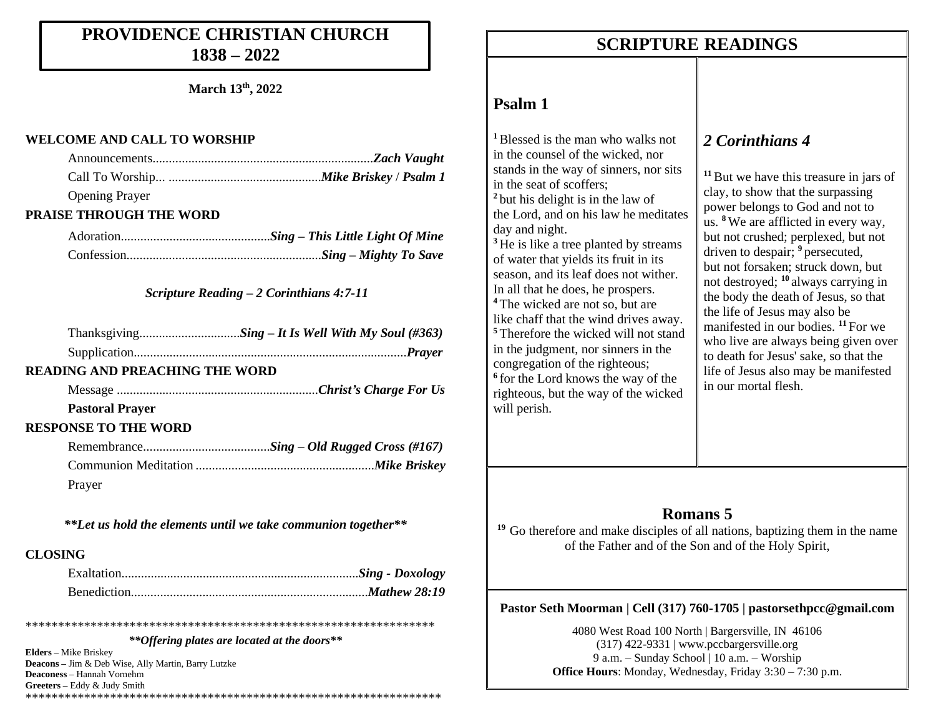## **PROVIDENCE CHRISTIAN CHURCH 1838 – 2022**

**March 13th, 2022**

#### **WELCOME AND CALL TO WORSHIP**

| <b>Opening Prayer</b> |  |
|-----------------------|--|

### **PRAISE THROUGH THE WORD**

### *Scripture Reading – 2 Corinthians 4:7-11*

### **READING AND PREACHING THE WORD**

Message ..............................................................*Christ's Charge For Us*

#### **Pastoral Prayer**

### **RESPONSE TO THE WORD**

| Prayer |  |  |
|--------|--|--|

*\*\*Let us hold the elements until we take communion together\*\**

### **CLOSING**

\*\*\*\*\*\*\*\*\*\*\*\*\*\*\*\*\*\*\*\*\*\*\*\*\*\*\*\*\*\*\*\*\*\*\*\*\*\*\*\*\*\*\*\*\*\*\*\*\*\*\*\*\*\*\*\*\*\*\*\*\*\*\* *\*\*Offering plates are located at the doors\*\**

**Elders –** Mike Briskey **Deacons –** Jim & Deb Wise, Ally Martin, Barry Lutzke **Deaconess –** Hannah Vornehm **Greeters –** Eddy & Judy Smith \*\*\*\*\*\*\*\*\*\*\*\*\*\*\*\*\*\*\*\*\*\*\*\*\*\*\*\*\*\*\*\*\*\*\*\*\*\*\*\*\*\*\*\*\*\*\*\*\*\*\*\*\*\*\*\*\*\*\*\*\*\*\*\*

## **SCRIPTURE READINGS SCRIPTURE READINGS**

### **Psalm 1**

**<sup>1</sup>**Blessed is the man who walks not in the counsel of the wicked, nor stands in the way of sinners, nor sits in the seat of scoffers; **<sup>2</sup>** but his delight is in the law of the Lord, and on his law he meditates day and night. <sup>3</sup> He is like a tree planted by streams of water that yields its fruit in its season, and its leaf does not wither. In all that he does, he prospers. **<sup>4</sup>** The wicked are not so, but are like chaff that the wind drives away. **<sup>5</sup>** Therefore the wicked will not stand in the judgment, nor sinners in the congregation of the righteous; **6** for the Lord knows the way of the righteous, but the way of the wicked will perish.

## *2 Corinthians 4*

**<sup>11</sup>**But we have this treasure in jars of clay, to show that the surpassing power belongs to God and not to us. **<sup>8</sup>** We are afflicted in every way, but not crushed; perplexed, but not driven to despair; <sup>9</sup> persecuted, but not forsaken; struck down, but not destroyed; **<sup>10</sup>** always carrying in the body the death of Jesus, so that the life of Jesus may also be manifested in our bodies. **<sup>11</sup>** For we who live are always being given over to death for Jesus' sake, so that the life of Jesus also may be manifested in our mortal flesh.

### **Romans 5**

**<sup>19</sup>** Go therefore and make disciples of all nations, baptizing them in the name of the Father and of the Son and of the Holy Spirit,

### **Pastor Seth Moorman | Cell (317) 760-1705 | pastorsethpcc@gmail.com**

4080 West Road 100 North | Bargersville, IN 46106  $(317)$  422-9331 | www.pccbargersville.org 9 a.m. – Sunday School | 10 a.m. – Worship **Office Hours**: Monday, Wednesday, Friday 3:30 – 7:30 p.m.